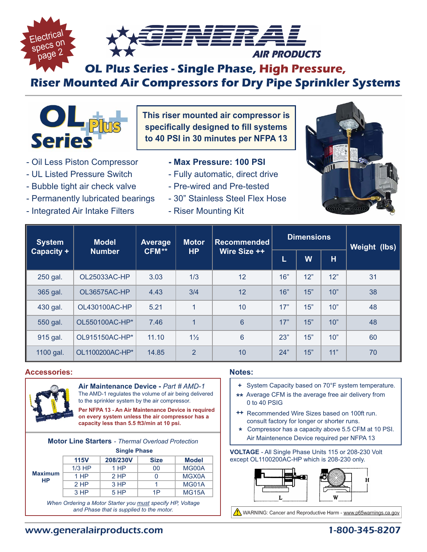

# **OL Plus Series - Single Phase, High Pressure, Riser Mounted Air Compressors for Dry Pipe Sprinkler Systems**



**This riser mounted air compressor is specifically designed to fill systems to 40 PSI in 30 minutes per NFPA 13**

- Oil Less Piston Compressor
- UL Listed Pressure Switch
- Bubble tight air check valve
- Permanently lubricated bearings
- Integrated Air Intake Filters
- **Max Pressure: 100 PSI**
- Fully automatic, direct drive
- Pre-wired and Pre-tested
- 30" Stainless Steel Flex Hose
- Riser Mounting Kit



| <b>System</b><br>Capacity + | <b>Model</b><br><b>Number</b> | <b>Average</b><br>CFM** | Motor<br>HP             | Recommended<br>Wire Size ++ | <b>Dimensions</b> |     |     | Weight (lbs) |
|-----------------------------|-------------------------------|-------------------------|-------------------------|-----------------------------|-------------------|-----|-----|--------------|
|                             |                               |                         |                         |                             | L                 | W   | н   |              |
| 250 gal.                    | OL25033AC-HP                  | 3.03                    | 1/3                     | 12                          | 16"               | 12" | 12" | 31           |
| 365 gal.                    | OL36575AC-HP                  | 4.43                    | 3/4                     | 12                          | 16"               | 15" | 10" | 38           |
| 430 gal.                    | OL430100AC-HP                 | 5.21                    | 1                       | 10                          | 17"               | 15" | 10" | 48           |
| 550 gal.                    | OL550100AC-HP*                | 7.46                    | $\overline{\mathbf{A}}$ | 6                           | 17"               | 15" | 10" | 48           |
| 915 gal.                    | OL915150AC-HP*                | 11.10                   | $1\frac{1}{2}$          | 6                           | 23"               | 15" | 10" | 60           |
| 1100 gal.                   | OL1100200AC-HP*               | 14.85                   | $\mathfrak{p}$          | 10                          | 24"               | 15" | 11" | 70           |

#### **Accessories:**



**Air Maintenance Device -** *Part # AMD-1* The AMD-1 regulates the volume of air being delivered to the sprinkler system by the air compressor.

**Per NFPA 13 - An Air Maintenance Device is required on every system unless the air compressor has a capacity less than 5.5 ft3/min at 10 psi.**

| <b>Motor Line Starters - Thermal Overload Protection</b>   |             |          |             |              |  |  |  |
|------------------------------------------------------------|-------------|----------|-------------|--------------|--|--|--|
| <b>Single Phase</b>                                        |             |          |             |              |  |  |  |
|                                                            | <b>115V</b> | 208/230V | <b>Size</b> | <b>Model</b> |  |  |  |
|                                                            | $1/3$ HP    | 1 HP     | 00          | MG00A        |  |  |  |
| <b>Maximum</b>                                             | $1$ HP      | $2$ HP   |             | MGX0A        |  |  |  |
| <b>HP</b>                                                  | 2HP         | 3 HP     | 1           | MG01A        |  |  |  |
|                                                            | 3HP         | 5 HP     | 1P          | <b>MG15A</b> |  |  |  |
| When Ordering a Motor Starter you must specify HP, Voltage |             |          |             |              |  |  |  |

*and Phase that is supplied to the motor.*

#### **Notes:**

- **+** System Capacity based on 70°F system temperature.
- **\*\*** Average CFM is the average free air delivery from 0 to 40 PSIG
- **++** Recommended Wire Sizes based on 100ft run. consult factory for longer or shorter runs.
- **\*** Compressor has a capacity above 5.5 CFM at 10 PSI. Air Maintenence Device required per NFPA 13

**VOLTAGE** - All Single Phase Units 115 or 208-230 Volt except OL1100200AC-HP which is 208-230 only.



WARNING: Cancer and Reproductive Harm - www.p65warnings.ca.gov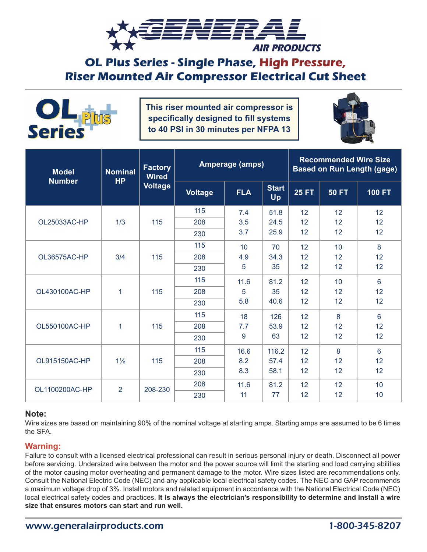

## **OL Plus Series - Single Phase, High Pressure, Riser Mounted Air Compressor Electrical Cut Sheet**



**This riser mounted air compressor is specifically designed to fill systems to 40 PSI in 30 minutes per NFPA 13**



| <b>Model</b><br><b>Number</b> | <b>Nominal</b><br><b>HP</b> | <b>Factory</b><br><b>Wired</b><br>Voltage | <b>Amperage (amps)</b> |                |                    | <b>Recommended Wire Size</b><br><b>Based on Run Length (gage)</b> |              |                |  |
|-------------------------------|-----------------------------|-------------------------------------------|------------------------|----------------|--------------------|-------------------------------------------------------------------|--------------|----------------|--|
|                               |                             |                                           | <b>Voltage</b>         | <b>FLA</b>     | <b>Start</b><br>Up | <b>25 FT</b>                                                      | <b>50 FT</b> | <b>100 FT</b>  |  |
|                               | 1/3                         | 115                                       | 115                    | 7.4            | 51.8               | 12                                                                | 12           | 12             |  |
| OL25033AC-HP                  |                             |                                           | 208                    | 3.5            | 24.5               | 12                                                                | 12           | 12             |  |
|                               |                             |                                           | 230                    | 3.7            | 25.9               | 12                                                                | 12           | 12             |  |
|                               | 3/4                         | 115                                       | 115                    | 10<br>4.9<br>5 | 70                 | 12                                                                | 10           | 8              |  |
| OL36575AC-HP                  |                             |                                           | 208                    |                | 34.3<br>35         | 12<br>12                                                          | 12<br>12     | 12             |  |
|                               |                             |                                           | 230                    |                |                    |                                                                   |              | 12             |  |
|                               |                             | 115                                       | 115                    | 11.6<br>5      | 81.2               | 12                                                                | 10           | 6              |  |
| OL430100AC-HP                 | 1                           |                                           | 208                    |                | 35                 | 12                                                                | 12           | 12             |  |
|                               |                             |                                           | 230                    | 5.8            | 40.6               | 12                                                                | 12           | 12             |  |
|                               |                             |                                           | 115                    | 18             | 126                | 12                                                                | 8            | $6\phantom{a}$ |  |
| OL550100AC-HP                 | 1                           | 115                                       | 208                    | 7.7<br>9       | 53.9               | 12                                                                | 12           | 12             |  |
|                               |                             |                                           | 230                    |                | 63                 | 12                                                                | 12           | 12             |  |
|                               |                             | 115                                       | 115                    | 16.6           | 116.2              | 12                                                                | 8            | $6\phantom{1}$ |  |
| OL915150AC-HP                 | $1\frac{1}{2}$              |                                           | 208                    | 8.2            | 57.4               | 12                                                                | 12           | 12             |  |
|                               |                             |                                           | 230                    | 8.3            | 58.1               | 12                                                                | 12           | 12             |  |
| OL1100200AC-HP                | $\overline{2}$              | 208-230                                   | 208                    | 11.6           | 81.2               | 12                                                                | 12           | 10             |  |
|                               |                             |                                           | 230                    | 11             | 77                 | 12                                                                | 12           | 10             |  |

#### **Note:**

Wire sizes are based on maintaining 90% of the nominal voltage at starting amps. Starting amps are assumed to be 6 times the SFA.

#### **Warning:**

Failure to consult with a licensed electrical professional can result in serious personal injury or death. Disconnect all power before servicing. Undersized wire between the motor and the power source will limit the starting and load carrying abilities of the motor causing motor overheating and permanent damage to the motor. Wire sizes listed are recommendations only. Consult the National Electric Code (NEC) and any applicable local electrical safety codes. The NEC and GAP recommends a maximum voltage drop of 3%. Install motors and related equipment in accordance with the National Electrical Code (NEC) local electrical safety codes and practices. **It is always the electrician's responsibility to determine and install a wire size that ensures motors can start and run well.**